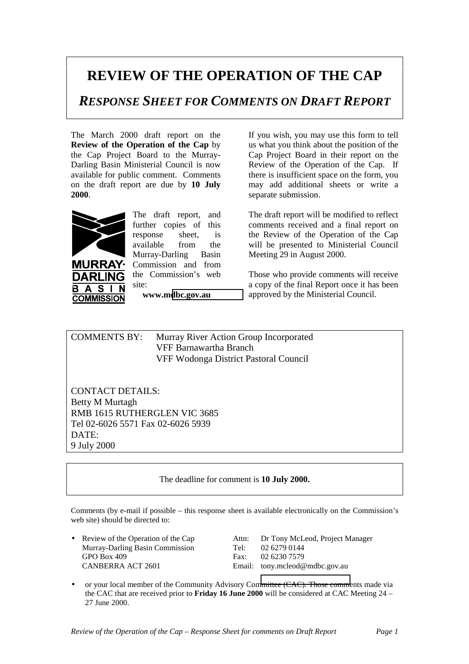## **REVIEW OF THE OPERATION OF THE CAP**

*RESPONSE SHEET FOR COMMENTS ON DRAFT REPORT*

The March 2000 draft report on the **Review of the Operation of the Cap** by the Cap Project Board to the Murray-Darling Basin Ministerial Council is now available for public comment. Comments on the draft report are due by **10 July 2000**.



 $\blacktriangle$ **S** 

**URRAY·** DARI ING

The draft report, and further copies of this response sheet, is available from the Murray-Darling Basin Commission and from the Commission's web site: **www.m[dbc.gov.au](http://www.mdbc.gov.au/)**

**COMMISSION** 

If you wish, you may use this form to tell us what you think about the position of the Cap Project Board in their report on the Review of the Operation of the Cap. If there is insufficient space on the form, you may add additional sheets or write a separate submission.

The draft report will be modified to reflect comments received and a final report on the Review of the Operation of the Cap will be presented to Ministerial Council Meeting 29 in August 2000.

Those who provide comments will receive a copy of the final Report once it has been approved by the Ministerial Council.

COMMENTS BY: Murray River Action Group Incorporated VFF Barnawartha Branch VFF Wodonga District Pastoral Council

CONTACT DETAILS: Betty M Murtagh RMB 1615 RUTHERGLEN VIC 3685 Tel 02-6026 5571 Fax 02-6026 5939 DATE: 9 July 2000

## The deadline for comment is **10 July 2000.**

Comments (by e-mail if possible – this response sheet is available electronically on the Commission's web site) should be directed to:

Murray-Darling Basin Commission<br>
GPO Box 409<br>
Fax: 02 6230 7579 GPO Box 409 Fax:<br>CANBERRA ACT 2601 Fax: 02 Fax:

• Review of the Operation of the Cap Attn: Dr Tony McLeod, Project Manager Email: tony.mcleod@mdbc.gov.au

• or your local member of the Community Advisory Co[mmittee \(CAC\). Those comme](mailto:tony.mcleod@mdbc.gov.au)nts made via the CAC that are received prior to **Friday 16 June 2000** will be considered at CAC Meeting 24 – 27 June 2000.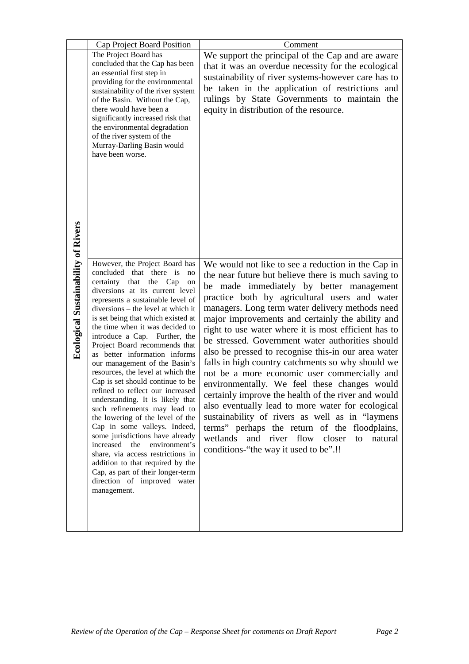|                                            | Cap Project Board Position                                            | Comment                                              |
|--------------------------------------------|-----------------------------------------------------------------------|------------------------------------------------------|
|                                            | The Project Board has                                                 | We support the principal of the Cap and are aware    |
|                                            | concluded that the Cap has been                                       | that it was an overdue necessity for the ecological  |
|                                            | an essential first step in                                            |                                                      |
|                                            | providing for the environmental                                       | sustainability of river systems-however care has to  |
|                                            | sustainability of the river system                                    | be taken in the application of restrictions and      |
|                                            | of the Basin. Without the Cap,                                        | rulings by State Governments to maintain the         |
|                                            | there would have been a                                               | equity in distribution of the resource.              |
|                                            | significantly increased risk that                                     |                                                      |
|                                            | the environmental degradation<br>of the river system of the           |                                                      |
|                                            | Murray-Darling Basin would                                            |                                                      |
|                                            | have been worse.                                                      |                                                      |
|                                            |                                                                       |                                                      |
|                                            |                                                                       |                                                      |
|                                            |                                                                       |                                                      |
|                                            |                                                                       |                                                      |
|                                            |                                                                       |                                                      |
|                                            |                                                                       |                                                      |
| <b>Ecological Sustainability of Rivers</b> |                                                                       |                                                      |
|                                            |                                                                       |                                                      |
|                                            |                                                                       |                                                      |
|                                            | However, the Project Board has                                        | We would not like to see a reduction in the Cap in   |
|                                            | concluded that there is<br>no                                         |                                                      |
|                                            | certainty that the Cap<br>on                                          | the near future but believe there is much saving to  |
|                                            | diversions at its current level                                       | be made immediately by better management             |
|                                            | represents a sustainable level of                                     | practice both by agricultural users and water        |
|                                            | diversions - the level at which it                                    | managers. Long term water delivery methods need      |
|                                            | is set being that which existed at<br>the time when it was decided to | major improvements and certainly the ability and     |
|                                            | introduce a Cap. Further, the                                         | right to use water where it is most efficient has to |
|                                            | Project Board recommends that                                         | be stressed. Government water authorities should     |
|                                            | as better information informs                                         | also be pressed to recognise this-in our area water  |
|                                            | our management of the Basin's                                         | falls in high country catchments so why should we    |
|                                            | resources, the level at which the                                     | not be a more economic user commercially and         |
|                                            | Cap is set should continue to be                                      | environmentally. We feel these changes would         |
|                                            | refined to reflect our increased                                      | certainly improve the health of the river and would  |
|                                            | understanding. It is likely that                                      | also eventually lead to more water for ecological    |
|                                            | such refinements may lead to<br>the lowering of the level of the      | sustainability of rivers as well as in "laymens      |
|                                            | Cap in some valleys. Indeed,                                          | terms" perhaps the return of the floodplains,        |
|                                            | some jurisdictions have already                                       | and river flow closer<br>wetlands<br>natural<br>to   |
|                                            | increased the<br>environment's                                        | conditions-"the way it used to be".!!                |
|                                            | share, via access restrictions in                                     |                                                      |
|                                            | addition to that required by the                                      |                                                      |
|                                            | Cap, as part of their longer-term                                     |                                                      |
|                                            | direction of improved water<br>management.                            |                                                      |
|                                            |                                                                       |                                                      |
|                                            |                                                                       |                                                      |
|                                            |                                                                       |                                                      |
|                                            |                                                                       |                                                      |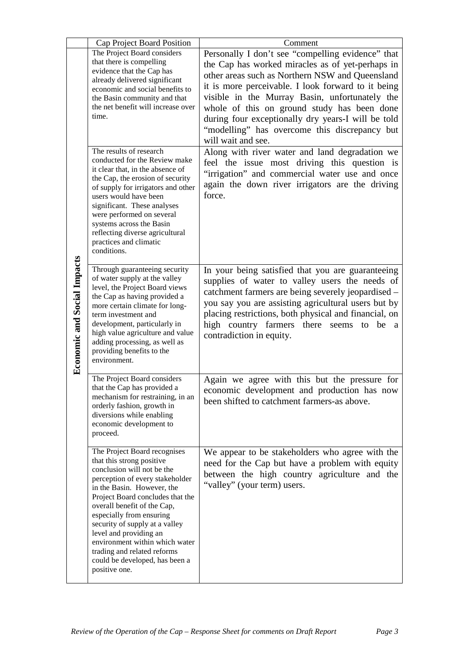|                                    | Cap Project Board Position                                        | Comment                                               |
|------------------------------------|-------------------------------------------------------------------|-------------------------------------------------------|
|                                    | The Project Board considers                                       | Personally I don't see "compelling evidence" that     |
|                                    | that there is compelling                                          | the Cap has worked miracles as of yet-perhaps in      |
|                                    | evidence that the Cap has                                         | other areas such as Northern NSW and Queensland       |
|                                    | already delivered significant<br>economic and social benefits to  | it is more perceivable. I look forward to it being    |
|                                    | the Basin community and that                                      | visible in the Murray Basin, unfortunately the        |
|                                    | the net benefit will increase over                                | whole of this on ground study has been done           |
|                                    | time.                                                             | during four exceptionally dry years-I will be told    |
|                                    |                                                                   | "modelling" has overcome this discrepancy but         |
|                                    |                                                                   | will wait and see.                                    |
|                                    | The results of research                                           | Along with river water and land degradation we        |
|                                    | conducted for the Review make                                     | feel the issue most driving this question is          |
|                                    | it clear that, in the absence of                                  | "irrigation" and commercial water use and once        |
|                                    | the Cap, the erosion of security                                  | again the down river irrigators are the driving       |
|                                    | of supply for irrigators and other<br>users would have been       | force.                                                |
|                                    | significant. These analyses                                       |                                                       |
|                                    | were performed on several                                         |                                                       |
|                                    | systems across the Basin                                          |                                                       |
|                                    | reflecting diverse agricultural                                   |                                                       |
|                                    | practices and climatic<br>conditions.                             |                                                       |
|                                    |                                                                   |                                                       |
|                                    | Through guaranteeing security                                     | In your being satisfied that you are guaranteeing     |
|                                    | of water supply at the valley                                     | supplies of water to valley users the needs of        |
| <b>Economic and Social Impacts</b> | level, the Project Board views<br>the Cap as having provided a    | catchment farmers are being severely jeopardised -    |
|                                    | more certain climate for long-                                    | you say you are assisting agricultural users but by   |
|                                    | term investment and                                               | placing restrictions, both physical and financial, on |
|                                    | development, particularly in                                      | high country farmers there seems to be<br>a           |
|                                    | high value agriculture and value<br>adding processing, as well as | contradiction in equity.                              |
|                                    | providing benefits to the                                         |                                                       |
|                                    | environment.                                                      |                                                       |
|                                    | The Project Board considers                                       | Again we agree with this but the pressure for         |
|                                    | that the Cap has provided a                                       | economic development and production has now           |
|                                    | mechanism for restraining, in an                                  | been shifted to catchment farmers-as above.           |
|                                    | orderly fashion, growth in                                        |                                                       |
|                                    | diversions while enabling<br>economic development to              |                                                       |
|                                    | proceed.                                                          |                                                       |
|                                    |                                                                   |                                                       |
|                                    | The Project Board recognises<br>that this strong positive         | We appear to be stakeholders who agree with the       |
|                                    | conclusion will not be the                                        | need for the Cap but have a problem with equity       |
|                                    | perception of every stakeholder                                   | between the high country agriculture and the          |
|                                    | in the Basin. However, the                                        | "valley" (your term) users.                           |
|                                    | Project Board concludes that the                                  |                                                       |
|                                    | overall benefit of the Cap,<br>especially from ensuring           |                                                       |
|                                    | security of supply at a valley                                    |                                                       |
|                                    | level and providing an                                            |                                                       |
|                                    | environment within which water                                    |                                                       |
|                                    | trading and related reforms                                       |                                                       |
|                                    | could be developed, has been a<br>positive one.                   |                                                       |
|                                    |                                                                   |                                                       |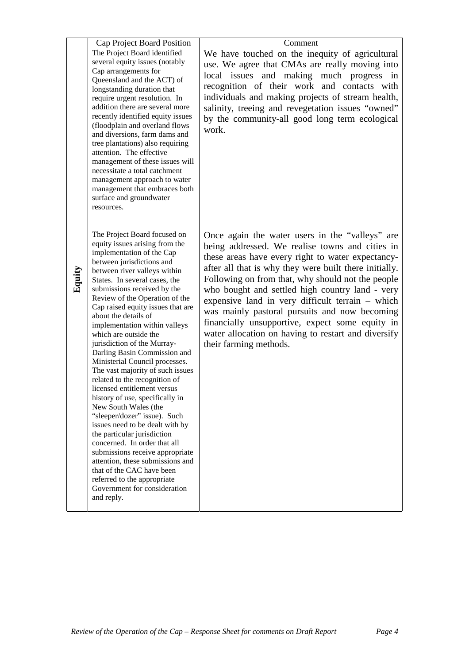|        | Cap Project Board Position                                         | Comment                                                 |
|--------|--------------------------------------------------------------------|---------------------------------------------------------|
|        | The Project Board identified                                       | We have touched on the inequity of agricultural         |
|        | several equity issues (notably                                     | use. We agree that CMAs are really moving into          |
|        | Cap arrangements for                                               | local issues and making much progress in                |
|        | Queensland and the ACT) of                                         | recognition of their work and contacts with             |
|        | longstanding duration that                                         | individuals and making projects of stream health,       |
|        | require urgent resolution. In<br>addition there are several more   | salinity, treeing and revegetation issues "owned"       |
|        | recently identified equity issues                                  |                                                         |
|        | (floodplain and overland flows                                     | by the community-all good long term ecological<br>work. |
|        | and diversions, farm dams and                                      |                                                         |
|        | tree plantations) also requiring                                   |                                                         |
|        | attention. The effective<br>management of these issues will        |                                                         |
|        | necessitate a total catchment                                      |                                                         |
|        | management approach to water                                       |                                                         |
|        | management that embraces both                                      |                                                         |
|        | surface and groundwater                                            |                                                         |
|        | resources.                                                         |                                                         |
|        |                                                                    |                                                         |
|        | The Project Board focused on                                       | Once again the water users in the "valleys" are         |
|        | equity issues arising from the                                     | being addressed. We realise towns and cities in         |
|        | implementation of the Cap                                          | these areas have every right to water expectancy-       |
|        | between jurisdictions and<br>between river valleys within          | after all that is why they were built there initially.  |
| Equity | States. In several cases, the                                      | Following on from that, why should not the people       |
|        | submissions received by the                                        | who bought and settled high country land - very         |
|        | Review of the Operation of the                                     | expensive land in very difficult terrain – which        |
|        | Cap raised equity issues that are<br>about the details of          | was mainly pastoral pursuits and now becoming           |
|        | implementation within valleys                                      | financially unsupportive, expect some equity in         |
|        | which are outside the                                              | water allocation on having to restart and diversify     |
|        | jurisdiction of the Murray-                                        | their farming methods.                                  |
|        | Darling Basin Commission and                                       |                                                         |
|        | Ministerial Council processes.<br>The vast majority of such issues |                                                         |
|        | related to the recognition of                                      |                                                         |
|        | licensed entitlement versus                                        |                                                         |
|        | history of use, specifically in                                    |                                                         |
|        | New South Wales (the                                               |                                                         |
|        | "sleeper/dozer" issue). Such                                       |                                                         |
|        | issues need to be dealt with by<br>the particular jurisdiction     |                                                         |
|        | concerned. In order that all                                       |                                                         |
|        | submissions receive appropriate                                    |                                                         |
|        | attention, these submissions and                                   |                                                         |
|        | that of the CAC have been                                          |                                                         |
|        | referred to the appropriate                                        |                                                         |
|        | Government for consideration<br>and reply.                         |                                                         |
|        |                                                                    |                                                         |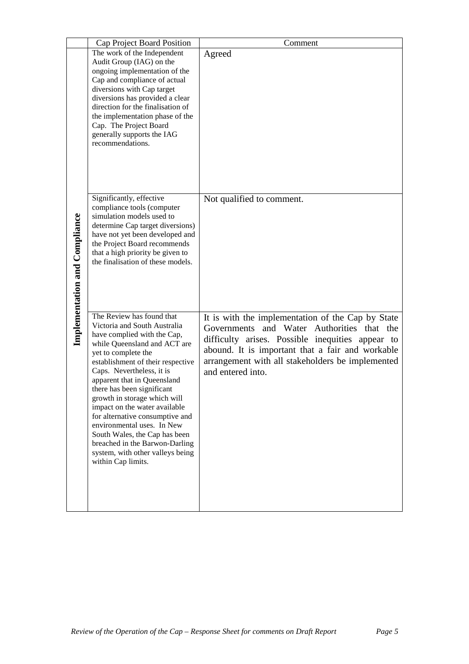|                                      | Cap Project Board Position                                                                                                                                                                                                                                                                                                                                                                                                                                                                                                                    | Comment                                                                                                                                                                                                                                                                          |
|--------------------------------------|-----------------------------------------------------------------------------------------------------------------------------------------------------------------------------------------------------------------------------------------------------------------------------------------------------------------------------------------------------------------------------------------------------------------------------------------------------------------------------------------------------------------------------------------------|----------------------------------------------------------------------------------------------------------------------------------------------------------------------------------------------------------------------------------------------------------------------------------|
| <b>Implementation and Compliance</b> | The work of the Independent<br>Audit Group (IAG) on the<br>ongoing implementation of the<br>Cap and compliance of actual<br>diversions with Cap target<br>diversions has provided a clear<br>direction for the finalisation of<br>the implementation phase of the<br>Cap. The Project Board<br>generally supports the IAG<br>recommendations.                                                                                                                                                                                                 | Agreed                                                                                                                                                                                                                                                                           |
|                                      | Significantly, effective<br>compliance tools (computer<br>simulation models used to<br>determine Cap target diversions)<br>have not yet been developed and<br>the Project Board recommends<br>that a high priority be given to<br>the finalisation of these models.                                                                                                                                                                                                                                                                           | Not qualified to comment.                                                                                                                                                                                                                                                        |
|                                      | The Review has found that<br>Victoria and South Australia<br>have complied with the Cap,<br>while Queensland and ACT are<br>yet to complete the<br>establishment of their respective<br>Caps. Nevertheless, it is<br>apparent that in Queensland<br>there has been significant<br>growth in storage which will<br>impact on the water available<br>for alternative consumptive and<br>environmental uses. In New<br>South Wales, the Cap has been<br>breached in the Barwon-Darling<br>system, with other valleys being<br>within Cap limits. | It is with the implementation of the Cap by State<br>Governments and Water Authorities that the<br>difficulty arises. Possible inequities appear to<br>abound. It is important that a fair and workable<br>arrangement with all stakeholders be implemented<br>and entered into. |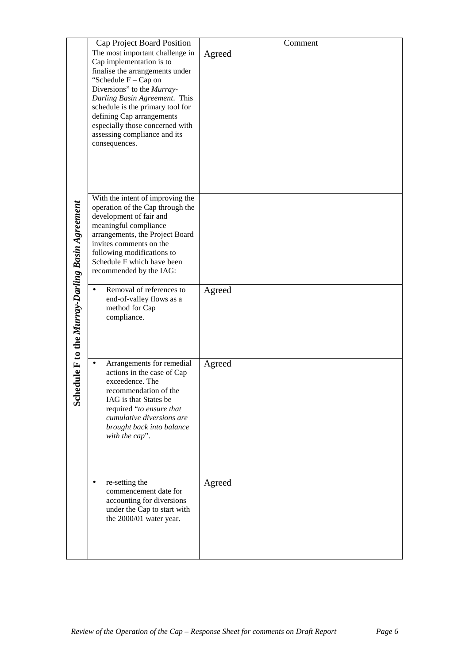|                                                     | Cap Project Board Position                                                                                                                                                                                                                                                                                                                   | Comment |
|-----------------------------------------------------|----------------------------------------------------------------------------------------------------------------------------------------------------------------------------------------------------------------------------------------------------------------------------------------------------------------------------------------------|---------|
| dule F to the Murray-Darling Basin Agreement<br>Sch | The most important challenge in<br>Cap implementation is to<br>finalise the arrangements under<br>"Schedule $F - Cap$ on<br>Diversions" to the Murray-<br>Darling Basin Agreement. This<br>schedule is the primary tool for<br>defining Cap arrangements<br>especially those concerned with<br>assessing compliance and its<br>consequences. | Agreed  |
|                                                     | With the intent of improving the<br>operation of the Cap through the<br>development of fair and<br>meaningful compliance<br>arrangements, the Project Board<br>invites comments on the<br>following modifications to<br>Schedule F which have been<br>recommended by the IAG:                                                                |         |
|                                                     | Removal of references to<br>$\bullet$<br>end-of-valley flows as a<br>method for Cap<br>compliance.                                                                                                                                                                                                                                           | Agreed  |
|                                                     | Arrangements for remedial<br>$\bullet$<br>actions in the case of Cap<br>exceedence. The<br>recommendation of the<br>IAG is that States be<br>required "to ensure that<br>cumulative diversions are<br>brought back into balance<br>with the cap".                                                                                            | Agreed  |
|                                                     | re-setting the<br>$\bullet$<br>commencement date for<br>accounting for diversions<br>under the Cap to start with<br>the 2000/01 water year.                                                                                                                                                                                                  | Agreed  |